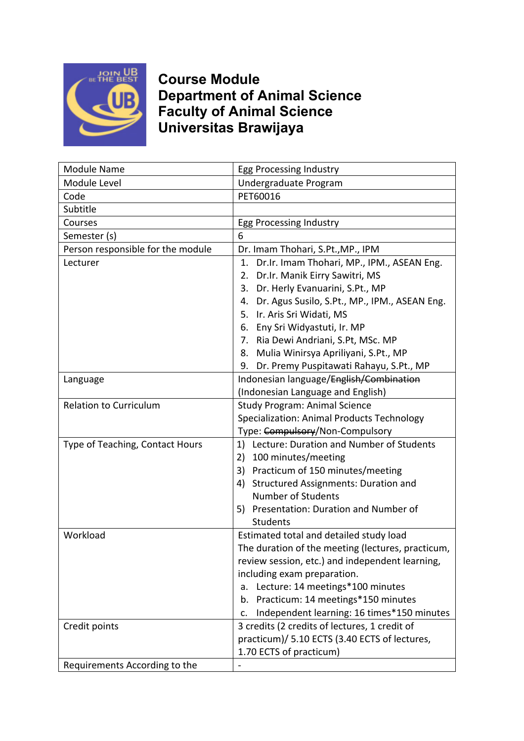

**Course Module Department of Animal Science Faculty of Animal Science Universitas Brawijaya**

| <b>Module Name</b>                | Egg Processing Industry                             |
|-----------------------------------|-----------------------------------------------------|
| Module Level                      | Undergraduate Program                               |
| Code                              | PET60016                                            |
| Subtitle                          |                                                     |
| Courses                           | Egg Processing Industry                             |
| Semester (s)                      | 6                                                   |
| Person responsible for the module | Dr. Imam Thohari, S.Pt., MP., IPM                   |
| Lecturer                          | 1. Dr.Ir. Imam Thohari, MP., IPM., ASEAN Eng.       |
|                                   | Dr.Ir. Manik Eirry Sawitri, MS<br>2.                |
|                                   | 3. Dr. Herly Evanuarini, S.Pt., MP                  |
|                                   | Dr. Agus Susilo, S.Pt., MP., IPM., ASEAN Eng.<br>4. |
|                                   | 5. Ir. Aris Sri Widati, MS                          |
|                                   | 6. Eny Sri Widyastuti, Ir. MP                       |
|                                   | 7. Ria Dewi Andriani, S.Pt, MSc. MP                 |
|                                   | Mulia Winirsya Apriliyani, S.Pt., MP<br>8.          |
|                                   | Dr. Premy Puspitawati Rahayu, S.Pt., MP<br>9.       |
| Language                          | Indonesian language/English/Combination             |
|                                   | (Indonesian Language and English)                   |
| <b>Relation to Curriculum</b>     | <b>Study Program: Animal Science</b>                |
|                                   | Specialization: Animal Products Technology          |
|                                   | Type: Compulsory/Non-Compulsory                     |
| Type of Teaching, Contact Hours   | Lecture: Duration and Number of Students<br>1)      |
|                                   | 100 minutes/meeting<br>2)                           |
|                                   | Practicum of 150 minutes/meeting<br>3)              |
|                                   | <b>Structured Assignments: Duration and</b><br>4)   |
|                                   | <b>Number of Students</b>                           |
|                                   | 5) Presentation: Duration and Number of             |
|                                   | Students                                            |
| Workload                          | Estimated total and detailed study load             |
|                                   | The duration of the meeting (lectures, practicum,   |
|                                   | review session, etc.) and independent learning,     |
|                                   | including exam preparation.                         |
|                                   | Lecture: 14 meetings*100 minutes<br>a.              |
|                                   | b. Practicum: 14 meetings*150 minutes               |
|                                   | Independent learning: 16 times*150 minutes<br>c.    |
| Credit points                     | 3 credits (2 credits of lectures, 1 credit of       |
|                                   | practicum)/ 5.10 ECTS (3.40 ECTS of lectures,       |
|                                   | 1.70 ECTS of practicum)                             |
| Requirements According to the     | $\blacksquare$                                      |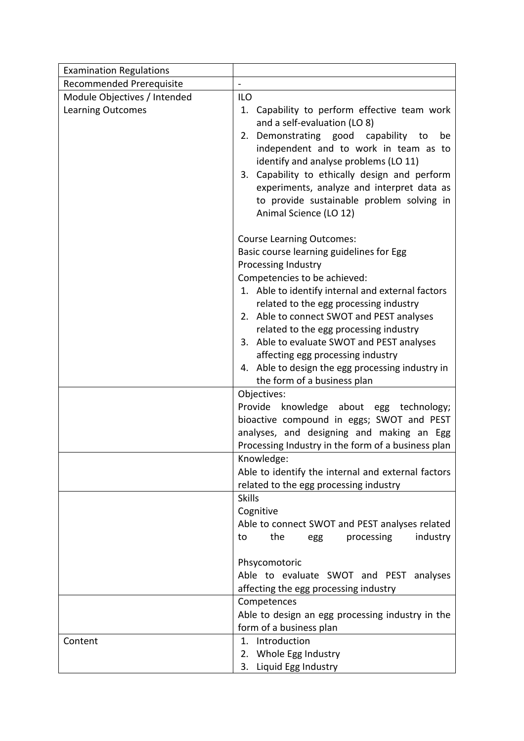| <b>Examination Regulations</b> |                                                                                                                                                                                                                                                                                                                                                                                                                                                                                                 |
|--------------------------------|-------------------------------------------------------------------------------------------------------------------------------------------------------------------------------------------------------------------------------------------------------------------------------------------------------------------------------------------------------------------------------------------------------------------------------------------------------------------------------------------------|
| Recommended Prerequisite       |                                                                                                                                                                                                                                                                                                                                                                                                                                                                                                 |
| Module Objectives / Intended   | <b>ILO</b>                                                                                                                                                                                                                                                                                                                                                                                                                                                                                      |
| <b>Learning Outcomes</b>       | 1. Capability to perform effective team work<br>and a self-evaluation (LO 8)<br>2. Demonstrating good capability to<br>be<br>independent and to work in team as to<br>identify and analyse problems (LO 11)<br>3. Capability to ethically design and perform<br>experiments, analyze and interpret data as<br>to provide sustainable problem solving in<br>Animal Science (LO 12)                                                                                                               |
|                                | <b>Course Learning Outcomes:</b><br>Basic course learning guidelines for Egg<br>Processing Industry<br>Competencies to be achieved:<br>1. Able to identify internal and external factors<br>related to the egg processing industry<br>2. Able to connect SWOT and PEST analyses<br>related to the egg processing industry<br>3. Able to evaluate SWOT and PEST analyses<br>affecting egg processing industry<br>4. Able to design the egg processing industry in<br>the form of a business plan |
|                                | Objectives:<br>Provide<br>knowledge about egg technology;<br>bioactive compound in eggs; SWOT and PEST<br>analyses, and designing and making an Egg<br>Processing Industry in the form of a business plan                                                                                                                                                                                                                                                                                       |
|                                | Knowledge:<br>Able to identify the internal and external factors<br>related to the egg processing industry                                                                                                                                                                                                                                                                                                                                                                                      |
|                                | <b>Skills</b><br>Cognitive<br>Able to connect SWOT and PEST analyses related<br>the<br>industry<br>to<br>processing<br>egg<br>Phsycomotoric<br>Able to evaluate SWOT and PEST analyses<br>affecting the egg processing industry<br>Competences<br>Able to design an egg processing industry in the                                                                                                                                                                                              |
| Content                        | form of a business plan<br>1. Introduction<br>2. Whole Egg Industry                                                                                                                                                                                                                                                                                                                                                                                                                             |
|                                | 3. Liquid Egg Industry                                                                                                                                                                                                                                                                                                                                                                                                                                                                          |